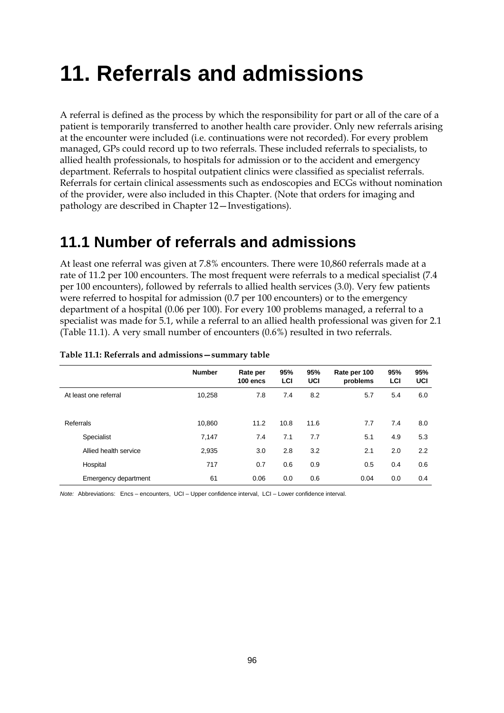# **11. Referrals and admissions**

A referral is defined as the process by which the responsibility for part or all of the care of a patient is temporarily transferred to another health care provider. Only new referrals arising at the encounter were included (i.e. continuations were not recorded). For every problem managed, GPs could record up to two referrals. These included referrals to specialists, to allied health professionals, to hospitals for admission or to the accident and emergency department. Referrals to hospital outpatient clinics were classified as specialist referrals. Referrals for certain clinical assessments such as endoscopies and ECGs without nomination of the provider, were also included in this Chapter. (Note that orders for imaging and pathology are described in Chapter 12—Investigations).

### **11.1 Number of referrals and admissions**

At least one referral was given at 7.8% encounters. There were 10,860 referrals made at a rate of 11.2 per 100 encounters. The most frequent were referrals to a medical specialist (7.4 per 100 encounters), followed by referrals to allied health services (3.0). Very few patients were referred to hospital for admission (0.7 per 100 encounters) or to the emergency department of a hospital (0.06 per 100). For every 100 problems managed, a referral to a specialist was made for 5.1, while a referral to an allied health professional was given for 2.1 (Table 11.1). A very small number of encounters (0.6%) resulted in two referrals.

|                       | <b>Number</b> | Rate per<br>100 encs | 95%<br>LCI | 95%<br>UCI | Rate per 100<br>problems | 95%<br>LCI | 95%<br>UCI |
|-----------------------|---------------|----------------------|------------|------------|--------------------------|------------|------------|
| At least one referral | 10,258        | 7.8                  | 7.4        | 8.2        | 5.7                      | 5.4        | 6.0        |
| Referrals             | 10,860        | 11.2                 | 10.8       | 11.6       | 7.7                      | 7.4        | 8.0        |
| Specialist            | 7,147         | 7.4                  | 7.1        | 7.7        | 5.1                      | 4.9        | 5.3        |
| Allied health service | 2,935         | 3.0                  | 2.8        | 3.2        | 2.1                      | 2.0        | 2.2        |
| Hospital              | 717           | 0.7                  | 0.6        | 0.9        | 0.5                      | 0.4        | 0.6        |
| Emergency department  | 61            | 0.06                 | 0.0        | 0.6        | 0.04                     | 0.0        | 0.4        |

#### **Table 11.1: Referrals and admissions—summary table**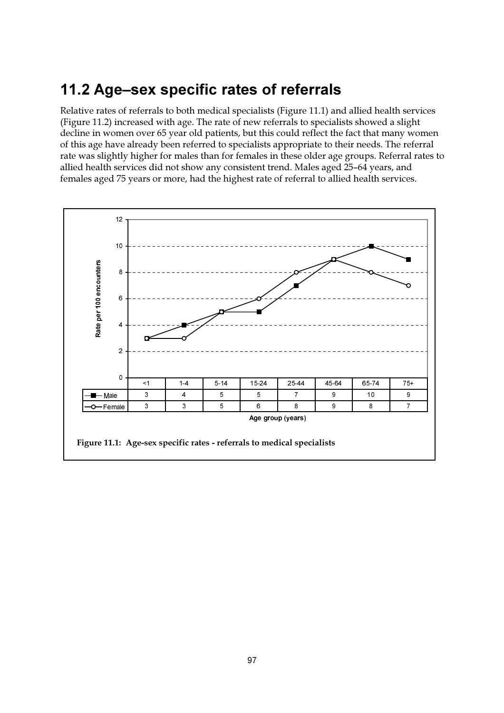## 11.2 Age-sex specific rates of referrals

Relative rates of referrals to both medical specialists (Figure 11.1) and allied health services (Figure 11.2) increased with age. The rate of new referrals to specialists showed a slight decline in women over 65 year old patients, but this could reflect the fact that many women of this age have already been referred to specialists appropriate to their needs. The referral rate was slightly higher for males than for females in these older age groups. Referral rates to allied health services did not show any consistent trend. Males aged 25-64 years, and females aged 75 years or more, had the highest rate of referral to allied health services.

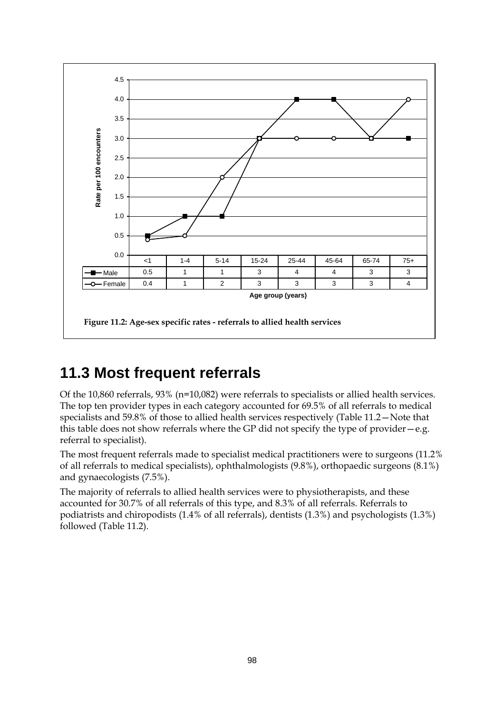

### **11.3 Most frequent referrals**

Of the 10,860 referrals, 93% (n=10,082) were referrals to specialists or allied health services. The top ten provider types in each category accounted for 69.5% of all referrals to medical specialists and 59.8% of those to allied health services respectively (Table 11.2—Note that this table does not show referrals where the GP did not specify the type of provider—e.g. referral to specialist).

The most frequent referrals made to specialist medical practitioners were to surgeons (11.2% of all referrals to medical specialists), ophthalmologists (9.8%), orthopaedic surgeons (8.1%) and gynaecologists (7.5%).

The majority of referrals to allied health services were to physiotherapists, and these accounted for 30.7% of all referrals of this type, and 8.3% of all referrals. Referrals to podiatrists and chiropodists (1.4% of all referrals), dentists (1.3%) and psychologists (1.3%) followed (Table 11.2).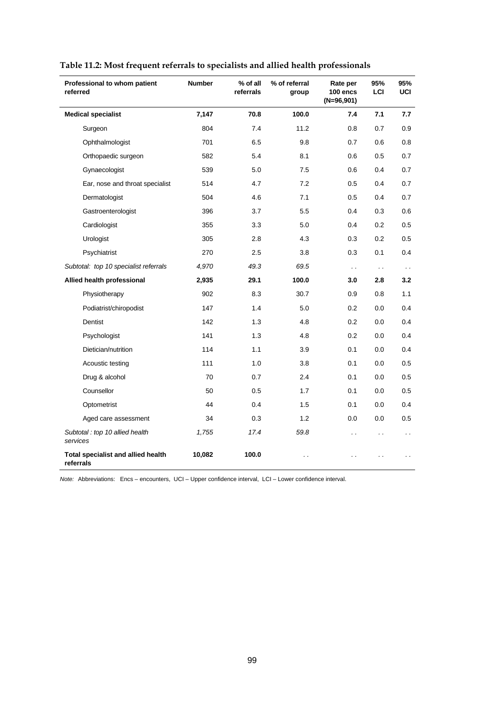| Professional to whom patient<br>referred        | <b>Number</b> | % of all<br>referrals | % of referral<br>group | Rate per<br>100 encs<br>$(N=96,901)$ | 95%<br>LCI           | 95%<br>UCI           |
|-------------------------------------------------|---------------|-----------------------|------------------------|--------------------------------------|----------------------|----------------------|
| <b>Medical specialist</b>                       | 7,147         | 70.8                  | 100.0                  | 7.4                                  | 7.1                  | 7.7                  |
| Surgeon                                         | 804           | 7.4                   | 11.2                   | 0.8                                  | 0.7                  | 0.9                  |
| Ophthalmologist                                 | 701           | 6.5                   | 9.8                    | 0.7                                  | 0.6                  | 0.8                  |
| Orthopaedic surgeon                             | 582           | 5.4                   | 8.1                    | 0.6                                  | 0.5                  | 0.7                  |
| Gynaecologist                                   | 539           | 5.0                   | 7.5                    | 0.6                                  | $0.4\,$              | 0.7                  |
| Ear, nose and throat specialist                 | 514           | 4.7                   | 7.2                    | 0.5                                  | $0.4\,$              | 0.7                  |
| Dermatologist                                   | 504           | 4.6                   | 7.1                    | 0.5                                  | 0.4                  | 0.7                  |
| Gastroenterologist                              | 396           | 3.7                   | 5.5                    | 0.4                                  | 0.3                  | 0.6                  |
| Cardiologist                                    | 355           | 3.3                   | 5.0                    | 0.4                                  | 0.2                  | 0.5                  |
| Urologist                                       | 305           | 2.8                   | 4.3                    | 0.3                                  | $0.2\,$              | 0.5                  |
| Psychiatrist                                    | 270           | 2.5                   | 3.8                    | 0.3                                  | 0.1                  | 0.4                  |
| Subtotal: top 10 specialist referrals           | 4,970         | 49.3                  | 69.5                   | $\ddot{\phantom{0}}$                 | $\ddot{\phantom{0}}$ | $\ddot{\phantom{0}}$ |
| Allied health professional                      | 2,935         | 29.1                  | 100.0                  | 3.0                                  | 2.8                  | 3.2                  |
| Physiotherapy                                   | 902           | 8.3                   | 30.7                   | 0.9                                  | 0.8                  | 1.1                  |
| Podiatrist/chiropodist                          | 147           | 1.4                   | 5.0                    | 0.2                                  | $0.0\,$              | 0.4                  |
| Dentist                                         | 142           | 1.3                   | 4.8                    | 0.2                                  | 0.0                  | 0.4                  |
| Psychologist                                    | 141           | 1.3                   | 4.8                    | 0.2                                  | $0.0\,$              | 0.4                  |
| Dietician/nutrition                             | 114           | 1.1                   | 3.9                    | 0.1                                  | $0.0\,$              | 0.4                  |
| Acoustic testing                                | 111           | 1.0                   | 3.8                    | 0.1                                  | $0.0\,$              | 0.5                  |
| Drug & alcohol                                  | 70            | 0.7                   | 2.4                    | 0.1                                  | $0.0\,$              | 0.5                  |
| Counsellor                                      | 50            | 0.5                   | 1.7                    | 0.1                                  | $0.0\,$              | 0.5                  |
| Optometrist                                     | 44            | 0.4                   | 1.5                    | 0.1                                  | 0.0                  | 0.4                  |
| Aged care assessment                            | 34            | 0.3                   | 1.2                    | $0.0\,$                              | $0.0\,$              | 0.5                  |
| Subtotal : top 10 allied health<br>services     | 1,755         | 17.4                  | 59.8                   | . .                                  | $\ddot{\phantom{0}}$ | $\ddot{\phantom{0}}$ |
| Total specialist and allied health<br>referrals | 10,082        | 100.0                 | $\sim$                 | . .                                  | $\ddot{\phantom{1}}$ | . .                  |

**Table 11.2: Most frequent referrals to specialists and allied health professionals**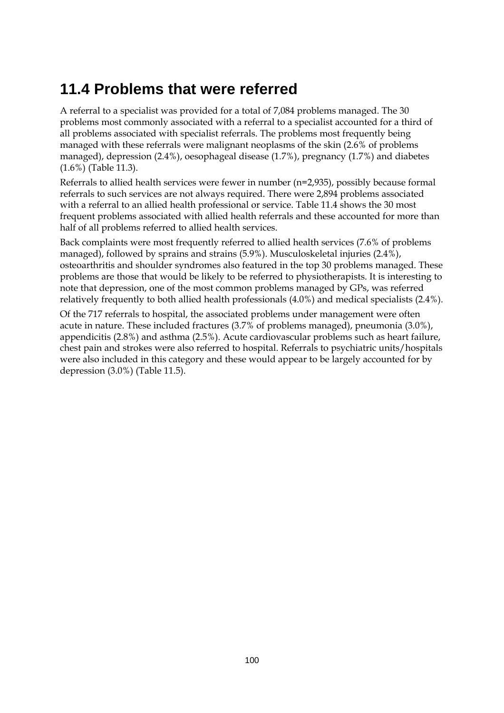# **11.4 Problems that were referred**

A referral to a specialist was provided for a total of 7,084 problems managed. The 30 problems most commonly associated with a referral to a specialist accounted for a third of all problems associated with specialist referrals. The problems most frequently being managed with these referrals were malignant neoplasms of the skin (2.6% of problems managed), depression (2.4%), oesophageal disease (1.7%), pregnancy (1.7%) and diabetes (1.6%) (Table 11.3).

Referrals to allied health services were fewer in number (n=2,935), possibly because formal referrals to such services are not always required. There were 2,894 problems associated with a referral to an allied health professional or service. Table 11.4 shows the 30 most frequent problems associated with allied health referrals and these accounted for more than half of all problems referred to allied health services.

Back complaints were most frequently referred to allied health services (7.6% of problems managed), followed by sprains and strains (5.9%). Musculoskeletal injuries (2.4%), osteoarthritis and shoulder syndromes also featured in the top 30 problems managed. These problems are those that would be likely to be referred to physiotherapists. It is interesting to note that depression, one of the most common problems managed by GPs, was referred relatively frequently to both allied health professionals (4.0%) and medical specialists (2.4%).

Of the 717 referrals to hospital, the associated problems under management were often acute in nature. These included fractures (3.7% of problems managed), pneumonia (3.0%), appendicitis (2.8%) and asthma (2.5%). Acute cardiovascular problems such as heart failure, chest pain and strokes were also referred to hospital. Referrals to psychiatric units/hospitals were also included in this category and these would appear to be largely accounted for by depression (3.0%) (Table 11.5).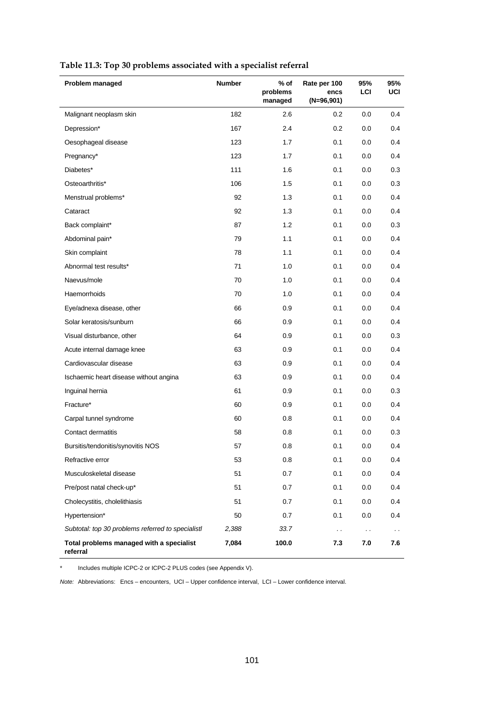| Problem managed                                      | <b>Number</b> | % of<br>problems | Rate per 100<br>encs | 95%<br>LCI   | 95%<br>UCI |
|------------------------------------------------------|---------------|------------------|----------------------|--------------|------------|
| Malignant neoplasm skin                              | 182           | managed<br>2.6   | $(N=96,901)$<br>0.2  | 0.0          | 0.4        |
|                                                      | 167           | 2.4              | 0.2                  | 0.0          | 0.4        |
| Depression*<br>Oesophageal disease                   | 123           | 1.7              | 0.1                  | 0.0          | 0.4        |
|                                                      | 123           | 1.7              | 0.1                  | 0.0          |            |
| Pregnancy*<br>Diabetes*                              | 111           | 1.6              | 0.1                  | 0.0          | 0.4        |
| Osteoarthritis*                                      | 106           | 1.5              | 0.1                  | 0.0          | 0.3<br>0.3 |
| Menstrual problems*                                  | 92            | 1.3              | 0.1                  | 0.0          | 0.4        |
| Cataract                                             | 92            | 1.3              | 0.1                  | 0.0          | 0.4        |
| Back complaint*                                      | 87            | 1.2              | 0.1                  | 0.0          | 0.3        |
| Abdominal pain*                                      | 79            | 1.1              | 0.1                  | 0.0          | 0.4        |
| Skin complaint                                       | 78            | 1.1              | 0.1                  | 0.0          | 0.4        |
| Abnormal test results*                               | 71            | 1.0              | 0.1                  | 0.0          | 0.4        |
| Naevus/mole                                          | 70            | 1.0              | 0.1                  | 0.0          | 0.4        |
| Haemorrhoids                                         | 70            | 1.0              | 0.1                  | 0.0          | 0.4        |
| Eye/adnexa disease, other                            | 66            | 0.9              | 0.1                  | 0.0          | 0.4        |
| Solar keratosis/sunburn                              | 66            | 0.9              | 0.1                  | 0.0          | 0.4        |
| Visual disturbance, other                            | 64            | 0.9              | 0.1                  | 0.0          | 0.3        |
| Acute internal damage knee                           | 63            | 0.9              | 0.1                  | 0.0          | 0.4        |
| Cardiovascular disease                               | 63            | 0.9              | 0.1                  | 0.0          | 0.4        |
| Ischaemic heart disease without angina               | 63            | 0.9              | 0.1                  | 0.0          | 0.4        |
| Inguinal hernia                                      | 61            | 0.9              | 0.1                  | 0.0          | 0.3        |
| Fracture*                                            | 60            | 0.9              | 0.1                  | 0.0          | 0.4        |
| Carpal tunnel syndrome                               | 60            | 0.8              | 0.1                  | 0.0          | 0.4        |
| Contact dermatitis                                   | 58            | 0.8              | 0.1                  | 0.0          | 0.3        |
| Bursitis/tendonitis/synovitis NOS                    | 57            | 0.8              | 0.1                  | 0.0          | 0.4        |
| Refractive error                                     | 53            | 0.8              | 0.1                  | 0.0          | 0.4        |
| Musculoskeletal disease                              | 51            | 0.7              | 0.1                  | 0.0          | 0.4        |
| Pre/post natal check-up*                             | 51            | 0.7              | 0.1                  | 0.0          | 0.4        |
| Cholecystitis, cholelithiasis                        | 51            | 0.7              | 0.1                  | 0.0          | 0.4        |
| Hypertension*                                        | 50            | 0.7              | 0.1                  | 0.0          | 0.4        |
| Subtotal: top 30 problems referred to specialistl    | 2,388         | 33.7             | $\ddot{\phantom{0}}$ | $\epsilon$ . | $\sim$     |
| Total problems managed with a specialist<br>referral | 7,084         | 100.0            | 7.3                  | 7.0          | 7.6        |

**Table 11.3: Top 30 problems associated with a specialist referral**

Includes multiple ICPC-2 or ICPC-2 PLUS codes (see Appendix V).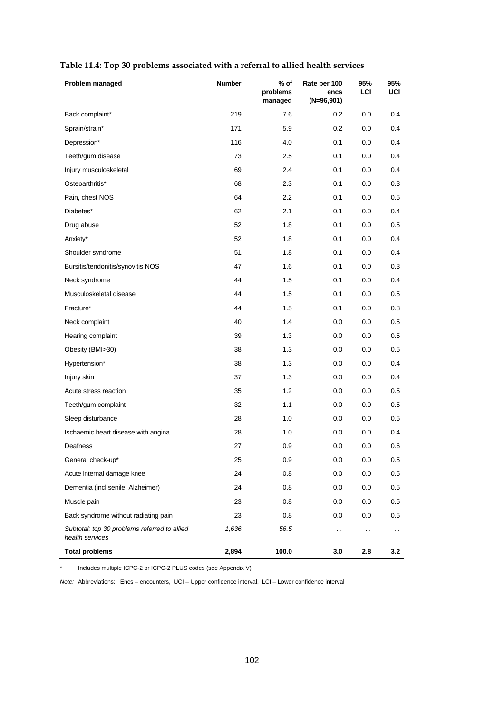| Problem managed                                                 | <b>Number</b> | % of<br>problems | Rate per 100<br>encs | 95%<br>LCI | 95%<br>UCI |
|-----------------------------------------------------------------|---------------|------------------|----------------------|------------|------------|
|                                                                 |               | managed          | $(N=96,901)$         |            |            |
| Back complaint*                                                 | 219           | 7.6              | 0.2                  | 0.0        | 0.4        |
| Sprain/strain*                                                  | 171           | 5.9              | 0.2                  | 0.0        | 0.4        |
| Depression*                                                     | 116           | 4.0              | 0.1                  | 0.0        | 0.4        |
| Teeth/gum disease                                               | 73            | 2.5              | 0.1                  | 0.0        | 0.4        |
| Injury musculoskeletal                                          | 69            | 2.4              | 0.1                  | 0.0        | 0.4        |
| Osteoarthritis*                                                 | 68            | 2.3              | 0.1                  | 0.0        | 0.3        |
| Pain, chest NOS                                                 | 64            | 2.2              | 0.1                  | 0.0        | 0.5        |
| Diabetes*                                                       | 62            | 2.1              | 0.1                  | 0.0        | 0.4        |
| Drug abuse                                                      | 52            | 1.8              | 0.1                  | 0.0        | 0.5        |
| Anxiety*                                                        | 52            | 1.8              | 0.1                  | 0.0        | 0.4        |
| Shoulder syndrome                                               | 51            | 1.8              | 0.1                  | 0.0        | 0.4        |
| Bursitis/tendonitis/synovitis NOS                               | 47            | 1.6              | 0.1                  | 0.0        | 0.3        |
| Neck syndrome                                                   | 44            | 1.5              | 0.1                  | 0.0        | 0.4        |
| Musculoskeletal disease                                         | 44            | 1.5              | 0.1                  | $0.0\,$    | 0.5        |
| Fracture*                                                       | 44            | 1.5              | 0.1                  | 0.0        | 0.8        |
| Neck complaint                                                  | 40            | 1.4              | 0.0                  | $0.0\,$    | 0.5        |
| Hearing complaint                                               | 39            | 1.3              | 0.0                  | 0.0        | 0.5        |
| Obesity (BMI>30)                                                | 38            | 1.3              | 0.0                  | 0.0        | 0.5        |
| Hypertension*                                                   | 38            | 1.3              | 0.0                  | 0.0        | 0.4        |
| Injury skin                                                     | 37            | 1.3              | 0.0                  | 0.0        | 0.4        |
| Acute stress reaction                                           | 35            | 1.2              | 0.0                  | 0.0        | 0.5        |
| Teeth/gum complaint                                             | 32            | 1.1              | 0.0                  | 0.0        | 0.5        |
| Sleep disturbance                                               | 28            | 1.0              | 0.0                  | $0.0\,$    | 0.5        |
| Ischaemic heart disease with angina                             | 28            | 1.0              | 0.0                  | 0.0        | 0.4        |
| Deafness                                                        | 27            | 0.9              | 0.0                  | 0.0        | 0.6        |
| General check-up*                                               | 25            | 0.9              | 0.0                  | 0.0        | 0.5        |
| Acute internal damage knee                                      | 24            | 0.8              | 0.0                  | 0.0        | 0.5        |
| Dementia (incl senile, Alzheimer)                               | 24            | 0.8              | 0.0                  | 0.0        | 0.5        |
| Muscle pain                                                     | 23            | 0.8              | 0.0                  | 0.0        | 0.5        |
| Back syndrome without radiating pain                            | 23            | 0.8              | 0.0                  | 0.0        | 0.5        |
| Subtotal: top 30 problems referred to allied<br>health services | 1,636         | 56.5             | $\epsilon$ .         | $\sim$     | $\sim$     |
| <b>Total problems</b>                                           | 2,894         | 100.0            | 3.0                  | 2.8        | 3.2        |

#### **Table 11.4: Top 30 problems associated with a referral to allied health services**

Includes multiple ICPC-2 or ICPC-2 PLUS codes (see Appendix V)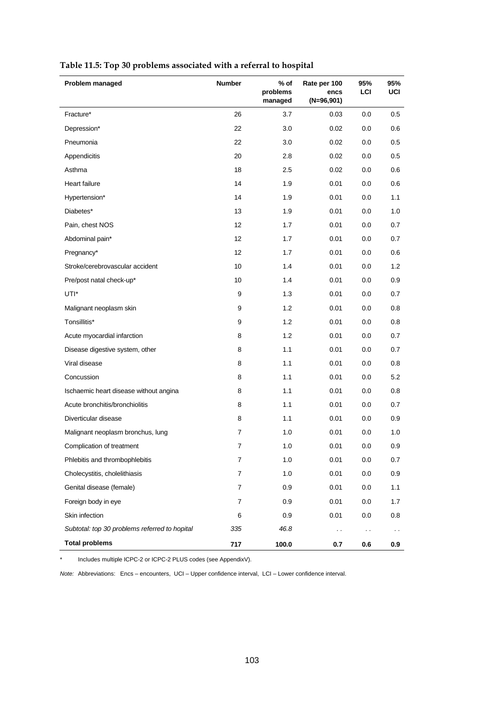| Problem managed                               | <b>Number</b>  | % of<br>problems | Rate per 100<br>encs | 95%<br>LCI | 95%<br>UCI   |
|-----------------------------------------------|----------------|------------------|----------------------|------------|--------------|
|                                               |                | managed          | $(N=96,901)$         |            |              |
| Fracture*                                     | 26             | 3.7              | 0.03                 | 0.0        | $0.5\,$      |
| Depression*                                   | 22             | 3.0              | 0.02                 | 0.0        | 0.6          |
| Pneumonia                                     | 22             | 3.0              | 0.02                 | 0.0        | 0.5          |
| Appendicitis                                  | 20             | 2.8              | 0.02                 | 0.0        | 0.5          |
| Asthma                                        | 18             | 2.5              | 0.02                 | 0.0        | 0.6          |
| Heart failure                                 | 14             | 1.9              | 0.01                 | 0.0        | 0.6          |
| Hypertension*                                 | 14             | 1.9              | 0.01                 | 0.0        | 1.1          |
| Diabetes*                                     | 13             | 1.9              | 0.01                 | $0.0\,$    | 1.0          |
| Pain, chest NOS                               | 12             | 1.7              | 0.01                 | 0.0        | 0.7          |
| Abdominal pain*                               | 12             | 1.7              | 0.01                 | 0.0        | 0.7          |
| Pregnancy*                                    | 12             | 1.7              | 0.01                 | $0.0\,$    | 0.6          |
| Stroke/cerebrovascular accident               | 10             | 1.4              | 0.01                 | 0.0        | 1.2          |
| Pre/post natal check-up*                      | 10             | 1.4              | 0.01                 | 0.0        | 0.9          |
| UTI*                                          | 9              | 1.3              | 0.01                 | 0.0        | 0.7          |
| Malignant neoplasm skin                       | 9              | 1.2              | 0.01                 | $0.0\,$    | 0.8          |
| Tonsillitis*                                  | 9              | 1.2              | 0.01                 | 0.0        | 0.8          |
| Acute myocardial infarction                   | 8              | 1.2              | 0.01                 | 0.0        | 0.7          |
| Disease digestive system, other               | 8              | 1.1              | 0.01                 | $0.0\,$    | 0.7          |
| Viral disease                                 | 8              | 1.1              | 0.01                 | 0.0        | 0.8          |
| Concussion                                    | 8              | 1.1              | 0.01                 | 0.0        | 5.2          |
| Ischaemic heart disease without angina        | 8              | 1.1              | 0.01                 | 0.0        | 0.8          |
| Acute bronchitis/bronchiolitis                | 8              | 1.1              | 0.01                 | 0.0        | 0.7          |
| Diverticular disease                          | 8              | 1.1              | 0.01                 | 0.0        | 0.9          |
| Malignant neoplasm bronchus, lung             | 7              | 1.0              | 0.01                 | $0.0\,$    | 1.0          |
| Complication of treatment                     | 7              | 1.0              | 0.01                 | 0.0        | 0.9          |
| Phlebitis and thrombophlebitis                | $\overline{7}$ | 1.0              | 0.01                 | 0.0        | 0.7          |
| Cholecystitis, cholelithiasis                 | $\overline{7}$ | 1.0              | 0.01                 | 0.0        | 0.9          |
| Genital disease (female)                      | 7              | 0.9              | 0.01                 | 0.0        | 1.1          |
| Foreign body in eye                           | 7              | 0.9              | 0.01                 | 0.0        | 1.7          |
| Skin infection                                | 6              | 0.9              | 0.01                 | 0.0        | 0.8          |
| Subtotal: top 30 problems referred to hopital | 335            | 46.8             | $\ddot{\phantom{0}}$ | $\sim$     | $\epsilon$ . |
| <b>Total problems</b>                         | 717            | 100.0            | 0.7                  | 0.6        | 0.9          |

#### **Table 11.5: Top 30 problems associated with a referral to hospital**

\* Includes multiple ICPC-2 or ICPC-2 PLUS codes (see AppendixV).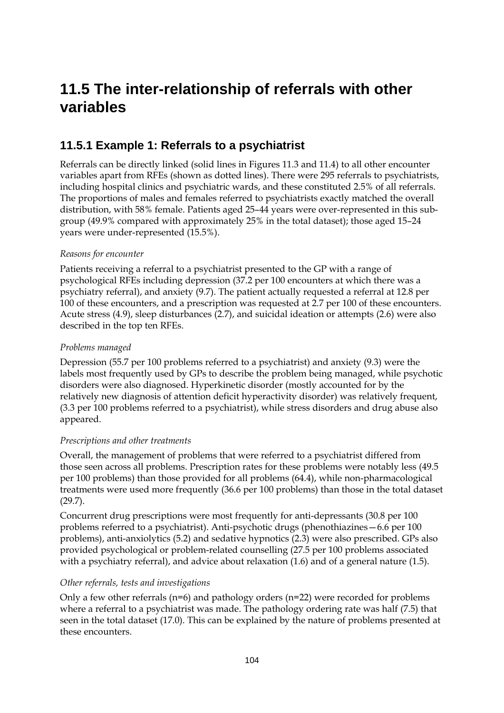## **11.5 The inter-relationship of referrals with other variables**

### **11.5.1 Example 1: Referrals to a psychiatrist**

Referrals can be directly linked (solid lines in Figures 11.3 and 11.4) to all other encounter variables apart from RFEs (shown as dotted lines). There were 295 referrals to psychiatrists, including hospital clinics and psychiatric wards, and these constituted 2.5% of all referrals. The proportions of males and females referred to psychiatrists exactly matched the overall distribution, with 58% female. Patients aged 25–44 years were over-represented in this subgroup (49.9% compared with approximately 25% in the total dataset); those aged 15–24 years were under-represented (15.5%).

#### *Reasons for encounter*

Patients receiving a referral to a psychiatrist presented to the GP with a range of psychological RFEs including depression (37.2 per 100 encounters at which there was a psychiatry referral), and anxiety (9.7). The patient actually requested a referral at 12.8 per 100 of these encounters, and a prescription was requested at 2.7 per 100 of these encounters. Acute stress (4.9), sleep disturbances (2.7), and suicidal ideation or attempts (2.6) were also described in the top ten RFEs.

#### *Problems managed*

Depression (55.7 per 100 problems referred to a psychiatrist) and anxiety (9.3) were the labels most frequently used by GPs to describe the problem being managed, while psychotic disorders were also diagnosed. Hyperkinetic disorder (mostly accounted for by the relatively new diagnosis of attention deficit hyperactivity disorder) was relatively frequent, (3.3 per 100 problems referred to a psychiatrist), while stress disorders and drug abuse also appeared.

#### *Prescriptions and other treatments*

Overall, the management of problems that were referred to a psychiatrist differed from those seen across all problems. Prescription rates for these problems were notably less (49.5 per 100 problems) than those provided for all problems (64.4), while non-pharmacological treatments were used more frequently (36.6 per 100 problems) than those in the total dataset (29.7).

Concurrent drug prescriptions were most frequently for anti-depressants (30.8 per 100 problems referred to a psychiatrist). Anti-psychotic drugs (phenothiazines—6.6 per 100 problems), anti-anxiolytics (5.2) and sedative hypnotics (2.3) were also prescribed. GPs also provided psychological or problem-related counselling (27.5 per 100 problems associated with a psychiatry referral), and advice about relaxation (1.6) and of a general nature (1.5).

#### *Other referrals, tests and investigations*

Only a few other referrals ( $n=6$ ) and pathology orders ( $n=22$ ) were recorded for problems where a referral to a psychiatrist was made. The pathology ordering rate was half (7.5) that seen in the total dataset (17.0). This can be explained by the nature of problems presented at these encounters.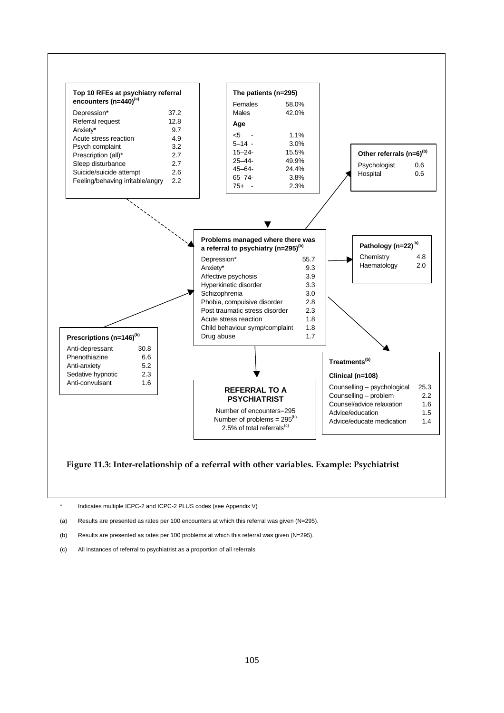

\* Indicates multiple ICPC-2 and ICPC-2 PLUS codes (see Appendix V)

(a) Results are presented as rates per 100 encounters at which this referral was given (N=295).

(b) Results are presented as rates per 100 problems at which this referral was given (N=295).

(c) All instances of referral to psychiatrist as a proportion of all referrals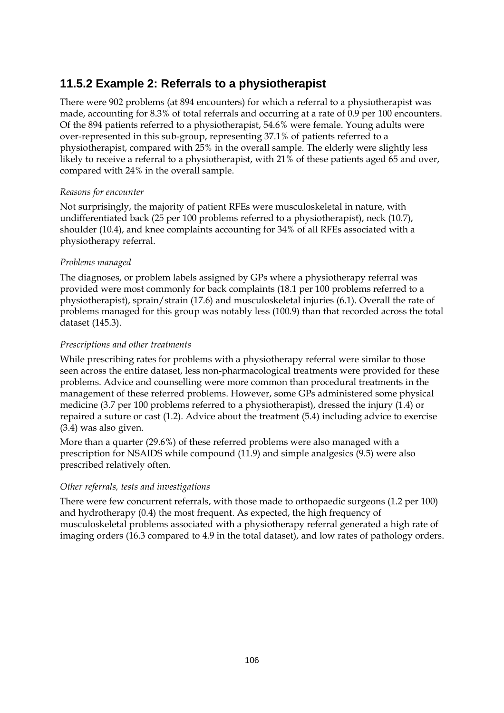### **11.5.2 Example 2: Referrals to a physiotherapist**

There were 902 problems (at 894 encounters) for which a referral to a physiotherapist was made, accounting for 8.3% of total referrals and occurring at a rate of 0.9 per 100 encounters. Of the 894 patients referred to a physiotherapist, 54.6% were female. Young adults were over-represented in this sub-group, representing 37.1% of patients referred to a physiotherapist, compared with 25% in the overall sample. The elderly were slightly less likely to receive a referral to a physiotherapist, with 21% of these patients aged 65 and over, compared with 24% in the overall sample.

#### *Reasons for encounter*

Not surprisingly, the majority of patient RFEs were musculoskeletal in nature, with undifferentiated back (25 per 100 problems referred to a physiotherapist), neck (10.7), shoulder (10.4), and knee complaints accounting for 34% of all RFEs associated with a physiotherapy referral.

#### *Problems managed*

The diagnoses, or problem labels assigned by GPs where a physiotherapy referral was provided were most commonly for back complaints (18.1 per 100 problems referred to a physiotherapist), sprain/strain (17.6) and musculoskeletal injuries (6.1). Overall the rate of problems managed for this group was notably less (100.9) than that recorded across the total dataset (145.3).

#### *Prescriptions and other treatments*

While prescribing rates for problems with a physiotherapy referral were similar to those seen across the entire dataset, less non-pharmacological treatments were provided for these problems. Advice and counselling were more common than procedural treatments in the management of these referred problems. However, some GPs administered some physical medicine (3.7 per 100 problems referred to a physiotherapist), dressed the injury (1.4) or repaired a suture or cast (1.2). Advice about the treatment (5.4) including advice to exercise (3.4) was also given.

More than a quarter (29.6%) of these referred problems were also managed with a prescription for NSAIDS while compound (11.9) and simple analgesics (9.5) were also prescribed relatively often.

#### *Other referrals, tests and investigations*

There were few concurrent referrals, with those made to orthopaedic surgeons (1.2 per 100) and hydrotherapy (0.4) the most frequent. As expected, the high frequency of musculoskeletal problems associated with a physiotherapy referral generated a high rate of imaging orders (16.3 compared to 4.9 in the total dataset), and low rates of pathology orders.